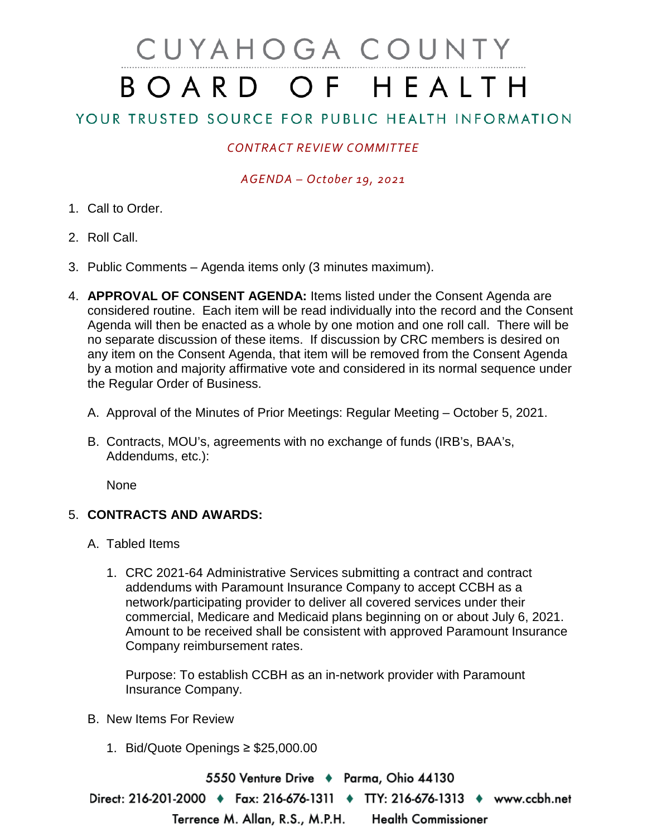# CUYAHOGA COUNTY BOARD OF HEALTH

## YOUR TRUSTED SOURCE FOR PUBLIC HEALTH INFORMATION

## *CONTRACT REVIEW COMMITTEE*

### *AGENDA – October 19, 2021*

- 1. Call to Order.
- 2. Roll Call.
- 3. Public Comments Agenda items only (3 minutes maximum).
- 4. **APPROVAL OF CONSENT AGENDA:** Items listed under the Consent Agenda are considered routine. Each item will be read individually into the record and the Consent Agenda will then be enacted as a whole by one motion and one roll call. There will be no separate discussion of these items. If discussion by CRC members is desired on any item on the Consent Agenda, that item will be removed from the Consent Agenda by a motion and majority affirmative vote and considered in its normal sequence under the Regular Order of Business.
	- A. Approval of the Minutes of Prior Meetings: Regular Meeting October 5, 2021.
	- B. Contracts, MOU's, agreements with no exchange of funds (IRB's, BAA's, Addendums, etc.):

None

#### 5. **CONTRACTS AND AWARDS:**

- A. Tabled Items
	- 1. CRC 2021-64 Administrative Services submitting a contract and contract addendums with Paramount Insurance Company to accept CCBH as a network/participating provider to deliver all covered services under their commercial, Medicare and Medicaid plans beginning on or about July 6, 2021. Amount to be received shall be consistent with approved Paramount Insurance Company reimbursement rates.

Purpose: To establish CCBH as an in-network provider with Paramount Insurance Company.

- B. New Items For Review
	- 1. Bid/Quote Openings ≥ \$25,000.00

5550 Venture Drive + Parma, Ohio 44130 Direct: 216-201-2000 ♦ Fax: 216-676-1311 ♦ TTY: 216-676-1313 ♦ www.ccbh.net Terrence M. Allan, R.S., M.P.H. **Health Commissioner**